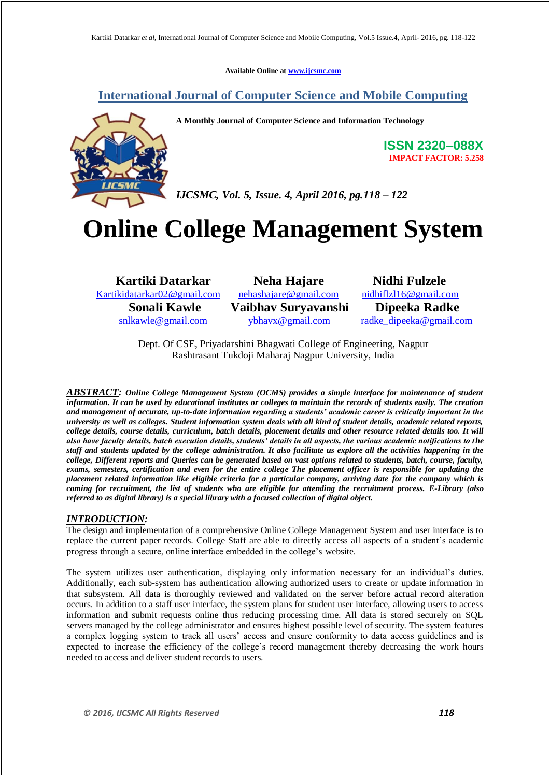**Available Online at www.ijcsmc.com**

# **International Journal of Computer Science and Mobile Computing**



**A Monthly Journal of Computer Science and Information Technology**

**ISSN 2320–088X IMPACT FACTOR: 5.258**

*IJCSMC, Vol. 5, Issue. 4, April 2016, pg.118 – 122*

# **Online College Management System**

Kartikidatarkar02@gmail.com nehashajare@gmail.com nidhiflzl16@gmail.com

**Kartiki Datarkar 1988 Neha Hajare 1988 Nidhi Fulzele**<br>
ikidatarkar02@gmail.com nehashajare@gmail.com nidhiflzl16@gmail.com  **Sonali Kawle Vaibhav Suryavanshi Dipeeka Radke** 

snlkawle@gmail.com vbhavx@gmail.com radke\_dipeeka@gmail.com

Dept. Of CSE, Priyadarshini Bhagwati College of Engineering, Nagpur Rashtrasant Tukdoji Maharaj Nagpur University, India

*ABSTRACT: Online College Management System (OCMS) provides a simple interface for maintenance of student information. It can be used by educational institutes or colleges to maintain the records of students easily. The creation and management of accurate, up-to-date information regarding a students' academic career is critically important in the university as well as colleges. Student information system deals with all kind of student details, academic related reports, college details, course details, curriculum, batch details, placement details and other resource related details too. It will also have faculty details, batch execution details, students' details in all aspects, the various academic notifications to the staff and students updated by the college administration. It also facilitate us explore all the activities happening in the college, Different reports and Queries can be generated based on vast options related to students, batch, course, faculty, exams, semesters, certification and even for the entire college The placement officer is responsible for updating the placement related information like eligible criteria for a particular company, arriving date for the company which is coming for recruitment, the list of students who are eligible for attending the recruitment process. E-Library (also referred to as digital library) is a special library with a focused collection of digital object.*

### *INTRODUCTION:*

The design and implementation of a comprehensive Online College Management System and user interface is to replace the current paper records. College Staff are able to directly access all aspects of a student's academic progress through a secure, online interface embedded in the college's website.

The system utilizes user authentication, displaying only information necessary for an individual's duties. Additionally, each sub-system has authentication allowing authorized users to create or update information in that subsystem. All data is thoroughly reviewed and validated on the server before actual record alteration occurs. In addition to a staff user interface, the system plans for student user interface, allowing users to access information and submit requests online thus reducing processing time. All data is stored securely on SQL servers managed by the college administrator and ensures highest possible level of security. The system features a complex logging system to track all users' access and ensure conformity to data access guidelines and is expected to increase the efficiency of the college's record management thereby decreasing the work hours needed to access and deliver student records to users.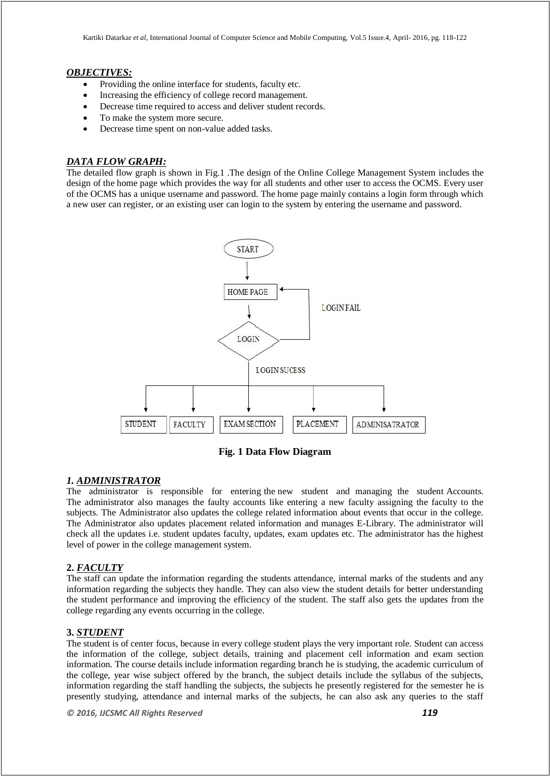#### *OBJECTIVES:*

- Providing the online interface for students, faculty etc.
- Increasing the efficiency of college record management.
- Decrease time required to access and deliver student records.
- To make the system more secure.
- Decrease time spent on non-value added tasks.

# *DATA FLOW GRAPH:*

The detailed flow graph is shown in Fig.1 .The design of the Online College Management System includes the design of the home page which provides the way for all students and other user to access the OCMS. Every user of the OCMS has a unique username and password. The home page mainly contains a login form through which a new user can register, or an existing user can login to the system by entering the username and password.



**Fig. 1 Data Flow Diagram**

### *1. ADMINISTRATOR*

The administrator is responsible for entering the new student and managing the student Accounts. The administrator also manages the faulty accounts like entering a new faculty assigning the faculty to the subjects. The Administrator also updates the college related information about events that occur in the college. The Administrator also updates placement related information and manages E-Library. The administrator will check all the updates i.e. student updates faculty, updates, exam updates etc. The administrator has the highest level of power in the college management system.

### **2.** *FACULTY*

The staff can update the information regarding the students attendance, internal marks of the students and any information regarding the subjects they handle. They can also view the student details for better understanding the student performance and improving the efficiency of the student. The staff also gets the updates from the college regarding any events occurring in the college.

### **3.** *STUDENT*

The student is of center focus, because in every college student plays the very important role. Student can access the information of the college, subject details, training and placement cell information and exam section information. The course details include information regarding branch he is studying, the academic curriculum of the college, year wise subject offered by the branch, the subject details include the syllabus of the subjects, information regarding the staff handling the subjects, the subjects he presently registered for the semester he is presently studying, attendance and internal marks of the subjects, he can also ask any queries to the staff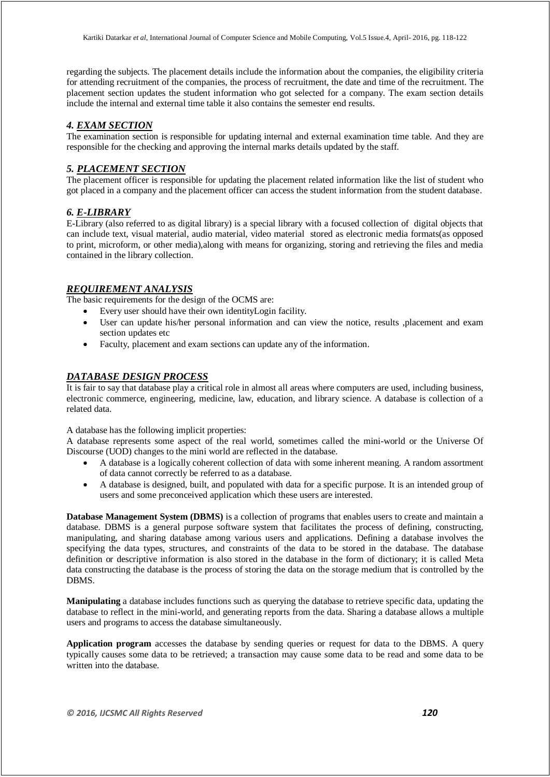regarding the subjects. The placement details include the information about the companies, the eligibility criteria for attending recruitment of the companies, the process of recruitment, the date and time of the recruitment. The placement section updates the student information who got selected for a company. The exam section details include the internal and external time table it also contains the semester end results.

### *4. EXAM SECTION*

The examination section is responsible for updating internal and external examination time table. And they are responsible for the checking and approving the internal marks details updated by the staff.

#### *5. PLACEMENT SECTION*

The placement officer is responsible for updating the placement related information like the list of student who got placed in a company and the placement officer can access the student information from the student database.

#### *6. E-LIBRARY*

E-Library (also referred to as digital library) is a special library with a focused collection of digital objects that can include text, visual material, audio material, video material stored as electronic media formats(as opposed to print, microform, or other media),along with means for organizing, storing and retrieving the files and media contained in the library collection.

#### *REQUIREMENT ANALYSIS*

The basic requirements for the design of the OCMS are:

- Every user should have their own identityLogin facility.
- User can update his/her personal information and can view the notice, results ,placement and exam section updates etc
- Faculty, placement and exam sections can update any of the information.

#### *DATABASE DESIGN PROCESS*

It is fair to say that database play a critical role in almost all areas where computers are used, including business, electronic commerce, engineering, medicine, law, education, and library science. A database is collection of a related data.

A database has the following implicit properties:

A database represents some aspect of the real world, sometimes called the mini-world or the Universe Of Discourse (UOD) changes to the mini world are reflected in the database.

- A database is a logically coherent collection of data with some inherent meaning. A random assortment of data cannot correctly be referred to as a database.
- A database is designed, built, and populated with data for a specific purpose. It is an intended group of users and some preconceived application which these users are interested.

**Database Management System (DBMS)** is a collection of programs that enables users to create and maintain a database. DBMS is a general purpose software system that facilitates the process of defining, constructing, manipulating, and sharing database among various users and applications. Defining a database involves the specifying the data types, structures, and constraints of the data to be stored in the database. The database definition or descriptive information is also stored in the database in the form of dictionary; it is called Meta data constructing the database is the process of storing the data on the storage medium that is controlled by the DBMS.

**Manipulating** a database includes functions such as querying the database to retrieve specific data, updating the database to reflect in the mini-world, and generating reports from the data. Sharing a database allows a multiple users and programs to access the database simultaneously.

**Application program** accesses the database by sending queries or request for data to the DBMS. A query typically causes some data to be retrieved; a transaction may cause some data to be read and some data to be written into the database.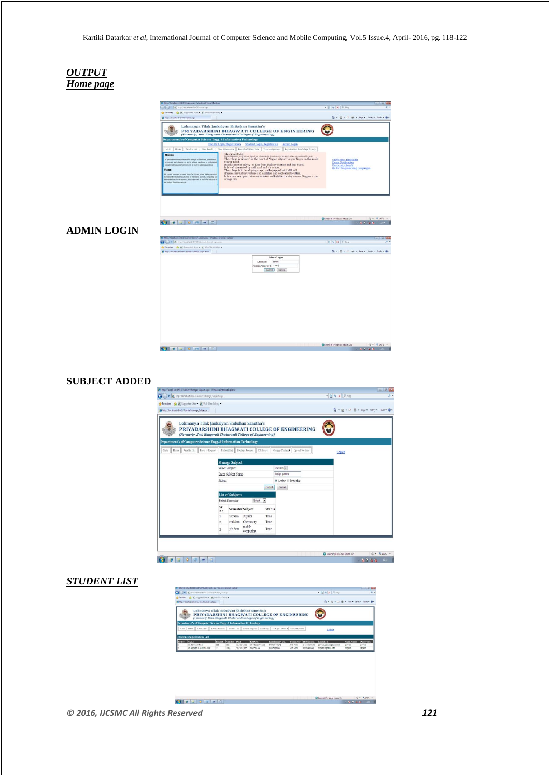

#### **SUBJECT ADDED**



# *STUDENT LIST*